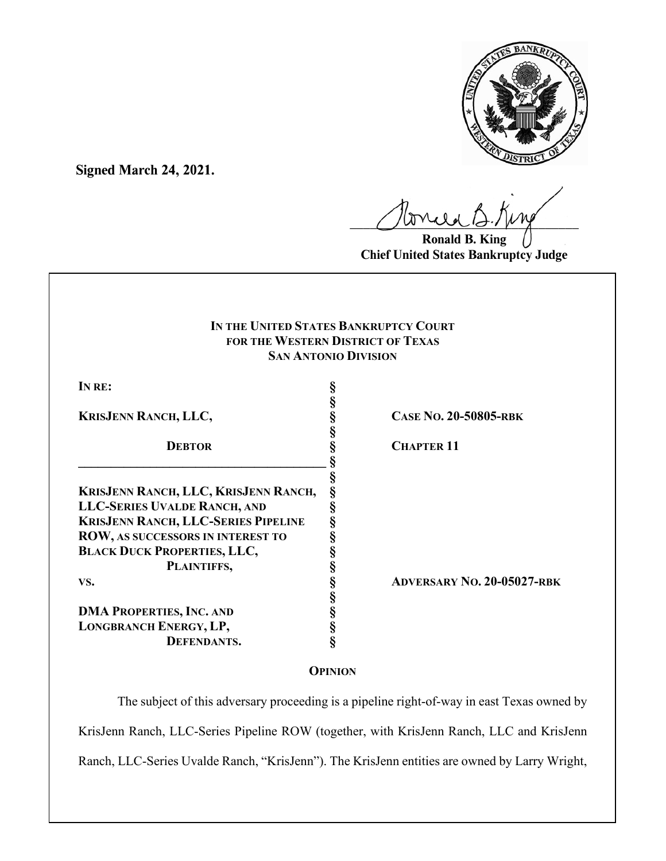

**Signed March 24, 2021.**

 $U^{WVQQ}$ 

**Ronald B. King Chief United States Bankruptcy Judge**

# **IN THE UNITED STATES BANKRUPTCY COURT FOR THE WESTERN DISTRICT OF TEXAS SAN ANTONIO DIVISION**

**§** 

**§** 

**§** 

**§** 

**IN RE: §** 

**KRISJENN RANCH, LLC, § CASE NO. 20-50805-RBK**

**\_\_\_\_\_\_\_\_\_\_\_\_\_\_\_\_\_\_\_\_\_\_\_\_\_\_\_\_\_\_\_\_\_\_\_\_\_\_ §** 

**KRISJENN RANCH, LLC, KRISJENN RANCH, § LLC-SERIES UVALDE RANCH, AND KRISJENN RANCH, LLC-SERIES PIPELINE ROW, AS SUCCESSORS IN INTEREST TO § BLACK DUCK PROPERTIES, LLC, § PLAINTIFFS, § VS. § ADVERSARY NO. 20-05027-RBK** 

**DEBTOR § CHAPTER 11** 

**LONGBRANCH ENERGY, LP, § DEFENDANTS. §** 

**DMA PROPERTIES, INC. AND §** 

## **OPINION**

The subject of this adversary proceeding is a pipeline right-of-way in east Texas owned by

KrisJenn Ranch, LLC-Series Pipeline ROW (together, with KrisJenn Ranch, LLC and KrisJenn

Ranch, LLC-Series Uvalde Ranch, "KrisJenn"). The KrisJenn entities are owned by Larry Wright,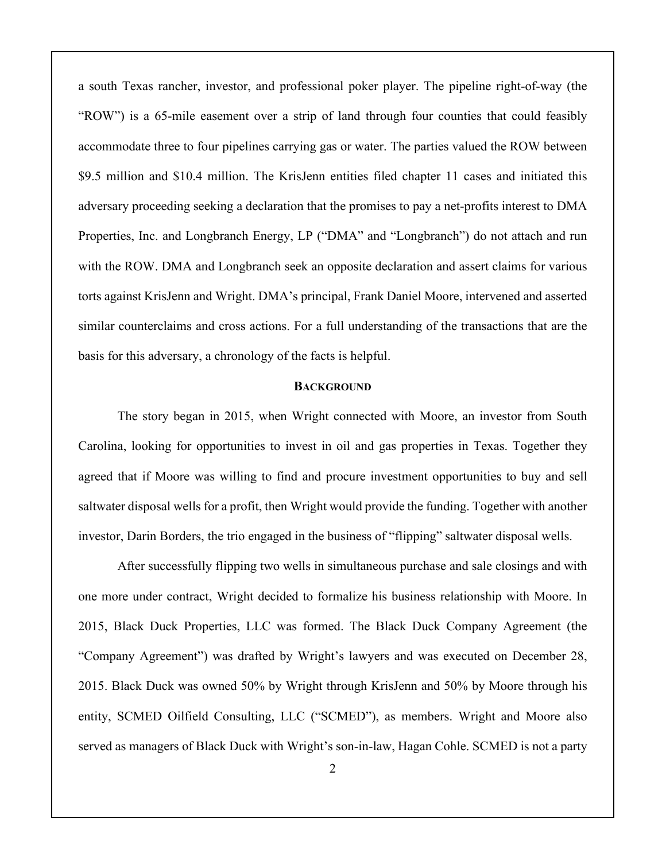a south Texas rancher, investor, and professional poker player. The pipeline right-of-way (the "ROW") is a 65-mile easement over a strip of land through four counties that could feasibly accommodate three to four pipelines carrying gas or water. The parties valued the ROW between \$9.5 million and \$10.4 million. The KrisJenn entities filed chapter 11 cases and initiated this adversary proceeding seeking a declaration that the promises to pay a net-profits interest to DMA Properties, Inc. and Longbranch Energy, LP ("DMA" and "Longbranch") do not attach and run with the ROW. DMA and Longbranch seek an opposite declaration and assert claims for various torts against KrisJenn and Wright. DMA's principal, Frank Daniel Moore, intervened and asserted similar counterclaims and cross actions. For a full understanding of the transactions that are the basis for this adversary, a chronology of the facts is helpful.

## **BACKGROUND**

The story began in 2015, when Wright connected with Moore, an investor from South Carolina, looking for opportunities to invest in oil and gas properties in Texas. Together they agreed that if Moore was willing to find and procure investment opportunities to buy and sell saltwater disposal wells for a profit, then Wright would provide the funding. Together with another investor, Darin Borders, the trio engaged in the business of "flipping" saltwater disposal wells.

After successfully flipping two wells in simultaneous purchase and sale closings and with one more under contract, Wright decided to formalize his business relationship with Moore. In 2015, Black Duck Properties, LLC was formed. The Black Duck Company Agreement (the "Company Agreement") was drafted by Wright's lawyers and was executed on December 28, 2015. Black Duck was owned 50% by Wright through KrisJenn and 50% by Moore through his entity, SCMED Oilfield Consulting, LLC ("SCMED"), as members. Wright and Moore also served as managers of Black Duck with Wright's son-in-law, Hagan Cohle. SCMED is not a party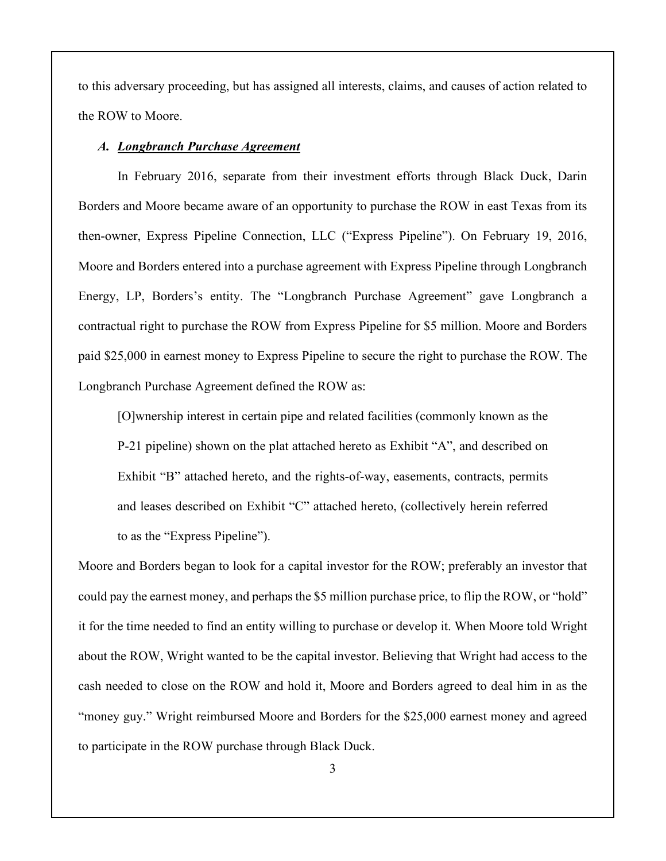to this adversary proceeding, but has assigned all interests, claims, and causes of action related to the ROW to Moore.

## *A. Longbranch Purchase Agreement*

In February 2016, separate from their investment efforts through Black Duck, Darin Borders and Moore became aware of an opportunity to purchase the ROW in east Texas from its then-owner, Express Pipeline Connection, LLC ("Express Pipeline"). On February 19, 2016, Moore and Borders entered into a purchase agreement with Express Pipeline through Longbranch Energy, LP, Borders's entity. The "Longbranch Purchase Agreement" gave Longbranch a contractual right to purchase the ROW from Express Pipeline for \$5 million. Moore and Borders paid \$25,000 in earnest money to Express Pipeline to secure the right to purchase the ROW. The Longbranch Purchase Agreement defined the ROW as:

[O]wnership interest in certain pipe and related facilities (commonly known as the P-21 pipeline) shown on the plat attached hereto as Exhibit "A", and described on Exhibit "B" attached hereto, and the rights-of-way, easements, contracts, permits and leases described on Exhibit "C" attached hereto, (collectively herein referred to as the "Express Pipeline").

Moore and Borders began to look for a capital investor for the ROW; preferably an investor that could pay the earnest money, and perhaps the \$5 million purchase price, to flip the ROW, or "hold" it for the time needed to find an entity willing to purchase or develop it. When Moore told Wright about the ROW, Wright wanted to be the capital investor. Believing that Wright had access to the cash needed to close on the ROW and hold it, Moore and Borders agreed to deal him in as the "money guy." Wright reimbursed Moore and Borders for the \$25,000 earnest money and agreed to participate in the ROW purchase through Black Duck.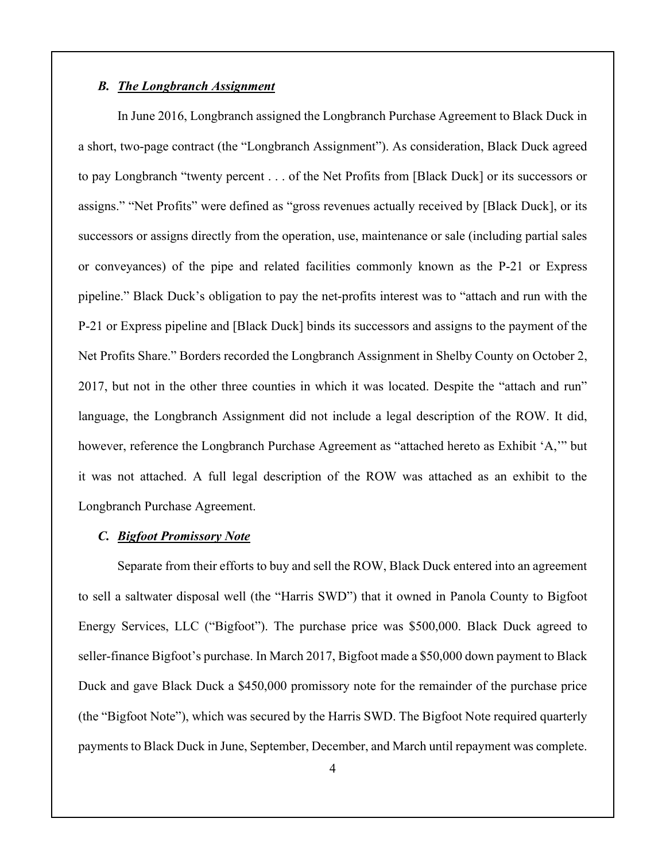## *B. The Longbranch Assignment*

In June 2016, Longbranch assigned the Longbranch Purchase Agreement to Black Duck in a short, two-page contract (the "Longbranch Assignment"). As consideration, Black Duck agreed to pay Longbranch "twenty percent . . . of the Net Profits from [Black Duck] or its successors or assigns." "Net Profits" were defined as "gross revenues actually received by [Black Duck], or its successors or assigns directly from the operation, use, maintenance or sale (including partial sales or conveyances) of the pipe and related facilities commonly known as the P-21 or Express pipeline." Black Duck's obligation to pay the net-profits interest was to "attach and run with the P-21 or Express pipeline and [Black Duck] binds its successors and assigns to the payment of the Net Profits Share." Borders recorded the Longbranch Assignment in Shelby County on October 2, 2017, but not in the other three counties in which it was located. Despite the "attach and run" language, the Longbranch Assignment did not include a legal description of the ROW. It did, however, reference the Longbranch Purchase Agreement as "attached hereto as Exhibit 'A,'" but it was not attached. A full legal description of the ROW was attached as an exhibit to the Longbranch Purchase Agreement.

## *C. Bigfoot Promissory Note*

Separate from their efforts to buy and sell the ROW, Black Duck entered into an agreement to sell a saltwater disposal well (the "Harris SWD") that it owned in Panola County to Bigfoot Energy Services, LLC ("Bigfoot"). The purchase price was \$500,000. Black Duck agreed to seller-finance Bigfoot's purchase. In March 2017, Bigfoot made a \$50,000 down payment to Black Duck and gave Black Duck a \$450,000 promissory note for the remainder of the purchase price (the "Bigfoot Note"), which was secured by the Harris SWD. The Bigfoot Note required quarterly payments to Black Duck in June, September, December, and March until repayment was complete.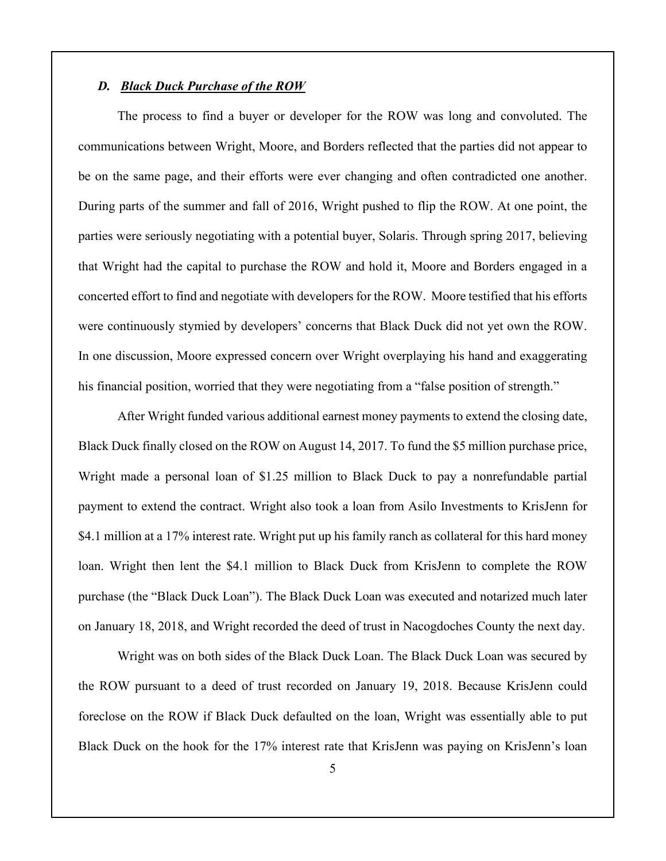# *D. Black Duck Purchase of the ROW*

The process to find a buyer or developer for the ROW was long and convoluted. The communications between Wright, Moore, and Borders reflected that the parties did not appear to be on the same page, and their efforts were ever changing and often contradicted one another. During parts of the summer and fall of 2016, Wright pushed to flip the ROW. At one point, the parties were seriously negotiating with a potential buyer, Solaris. Through spring 2017, believing that Wright had the capital to purchase the ROW and hold it, Moore and Borders engaged in a concerted effort to find and negotiate with developers for the ROW. Moore testified that his efforts were continuously stymied by developers' concerns that Black Duck did not yet own the ROW. In one discussion, Moore expressed concern over Wright overplaying his hand and exaggerating his financial position, worried that they were negotiating from a "false position of strength."

After Wright funded various additional earnest money payments to extend the closing date, Black Duck finally closed on the ROW on August 14, 2017. To fund the \$5 million purchase price, Wright made a personal loan of \$1.25 million to Black Duck to pay a nonrefundable partial payment to extend the contract. Wright also took a loan from Asilo Investments to KrisJenn for \$4.1 million at a 17% interest rate. Wright put up his family ranch as collateral for this hard money loan. Wright then lent the \$4.1 million to Black Duck from KrisJenn to complete the ROW purchase (the "Black Duck Loan"). The Black Duck Loan was executed and notarized much later on January 18, 2018, and Wright recorded the deed of trust in Nacogdoches County the next day.

Wright was on both sides of the Black Duck Loan. The Black Duck Loan was secured by the ROW pursuant to a deed of trust recorded on January 19, 2018. Because KrisJenn could foreclose on the ROW if Black Duck defaulted on the loan, Wright was essentially able to put Black Duck on the hook for the 17% interest rate that KrisJenn was paying on KrisJenn's loan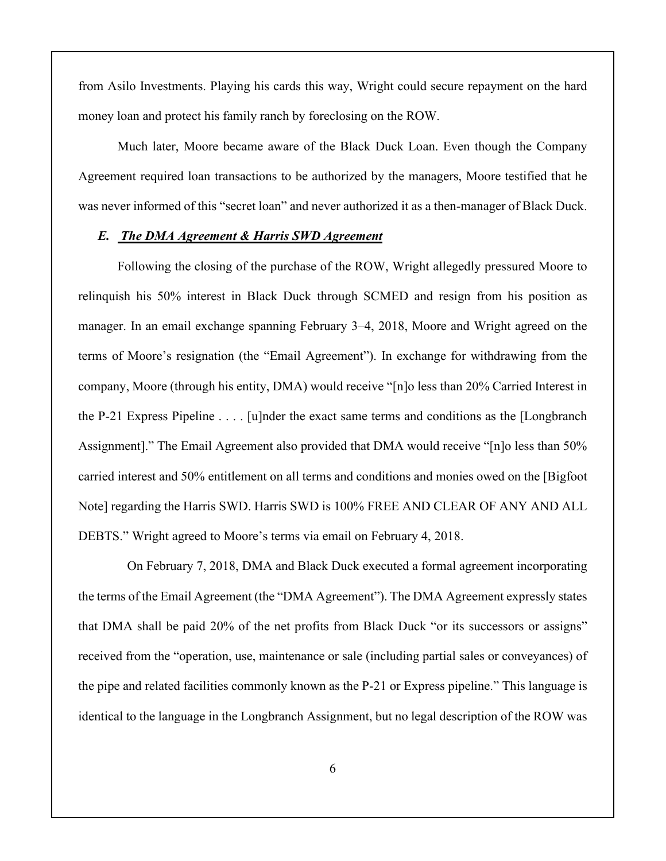from Asilo Investments. Playing his cards this way, Wright could secure repayment on the hard money loan and protect his family ranch by foreclosing on the ROW.

Much later, Moore became aware of the Black Duck Loan. Even though the Company Agreement required loan transactions to be authorized by the managers, Moore testified that he was never informed of this "secret loan" and never authorized it as a then-manager of Black Duck.

## *E. The DMA Agreement & Harris SWD Agreement*

Following the closing of the purchase of the ROW, Wright allegedly pressured Moore to relinquish his 50% interest in Black Duck through SCMED and resign from his position as manager. In an email exchange spanning February 3–4, 2018, Moore and Wright agreed on the terms of Moore's resignation (the "Email Agreement"). In exchange for withdrawing from the company, Moore (through his entity, DMA) would receive "[n]o less than 20% Carried Interest in the P-21 Express Pipeline . . . . [u]nder the exact same terms and conditions as the [Longbranch Assignment]." The Email Agreement also provided that DMA would receive "[n]o less than 50% carried interest and 50% entitlement on all terms and conditions and monies owed on the [Bigfoot Note] regarding the Harris SWD. Harris SWD is 100% FREE AND CLEAR OF ANY AND ALL DEBTS." Wright agreed to Moore's terms via email on February 4, 2018.

On February 7, 2018, DMA and Black Duck executed a formal agreement incorporating the terms of the Email Agreement (the "DMA Agreement"). The DMA Agreement expressly states that DMA shall be paid 20% of the net profits from Black Duck "or its successors or assigns" received from the "operation, use, maintenance or sale (including partial sales or conveyances) of the pipe and related facilities commonly known as the P-21 or Express pipeline." This language is identical to the language in the Longbranch Assignment, but no legal description of the ROW was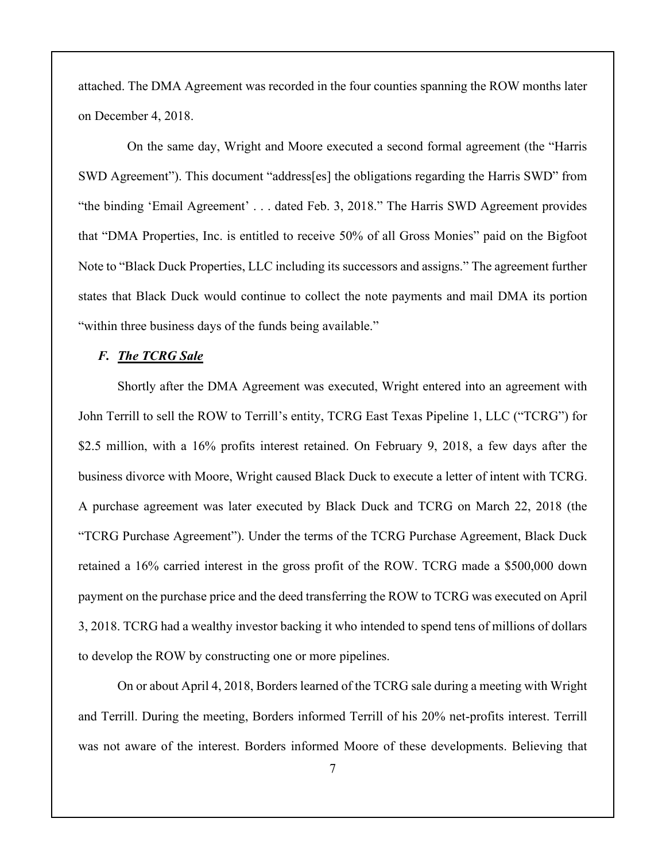attached. The DMA Agreement was recorded in the four counties spanning the ROW months later on December 4, 2018.

On the same day, Wright and Moore executed a second formal agreement (the "Harris SWD Agreement"). This document "address[es] the obligations regarding the Harris SWD" from "the binding 'Email Agreement' . . . dated Feb. 3, 2018." The Harris SWD Agreement provides that "DMA Properties, Inc. is entitled to receive 50% of all Gross Monies" paid on the Bigfoot Note to "Black Duck Properties, LLC including its successors and assigns." The agreement further states that Black Duck would continue to collect the note payments and mail DMA its portion "within three business days of the funds being available."

#### *F. The TCRG Sale*

Shortly after the DMA Agreement was executed, Wright entered into an agreement with John Terrill to sell the ROW to Terrill's entity, TCRG East Texas Pipeline 1, LLC ("TCRG") for \$2.5 million, with a 16% profits interest retained. On February 9, 2018, a few days after the business divorce with Moore, Wright caused Black Duck to execute a letter of intent with TCRG. A purchase agreement was later executed by Black Duck and TCRG on March 22, 2018 (the "TCRG Purchase Agreement"). Under the terms of the TCRG Purchase Agreement, Black Duck retained a 16% carried interest in the gross profit of the ROW. TCRG made a \$500,000 down payment on the purchase price and the deed transferring the ROW to TCRG was executed on April 3, 2018. TCRG had a wealthy investor backing it who intended to spend tens of millions of dollars to develop the ROW by constructing one or more pipelines.

On or about April 4, 2018, Borders learned of the TCRG sale during a meeting with Wright and Terrill. During the meeting, Borders informed Terrill of his 20% net-profits interest. Terrill was not aware of the interest. Borders informed Moore of these developments. Believing that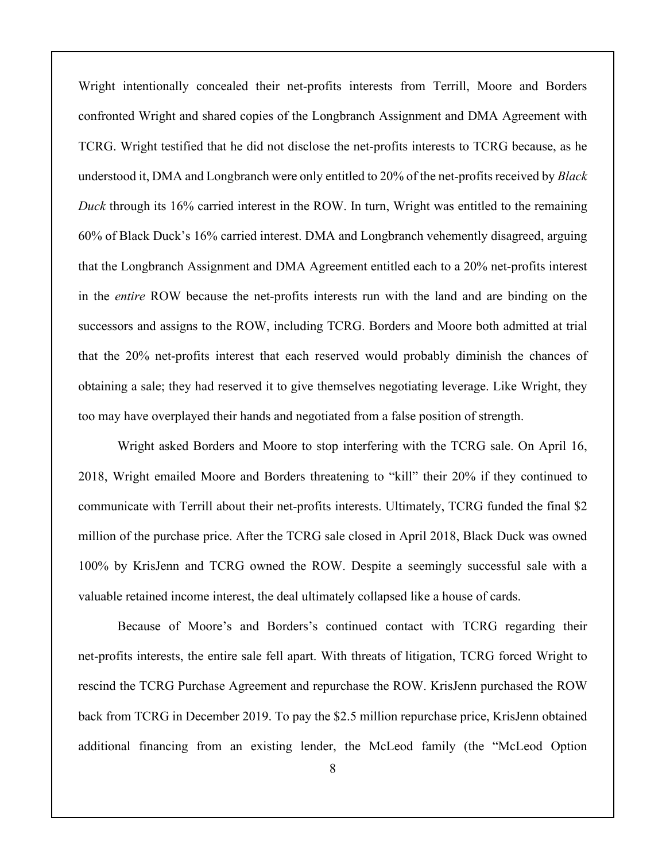Wright intentionally concealed their net-profits interests from Terrill, Moore and Borders confronted Wright and shared copies of the Longbranch Assignment and DMA Agreement with TCRG. Wright testified that he did not disclose the net-profits interests to TCRG because, as he understood it, DMA and Longbranch were only entitled to 20% of the net-profits received by *Black Duck* through its 16% carried interest in the ROW. In turn, Wright was entitled to the remaining 60% of Black Duck's 16% carried interest. DMA and Longbranch vehemently disagreed, arguing that the Longbranch Assignment and DMA Agreement entitled each to a 20% net-profits interest in the *entire* ROW because the net-profits interests run with the land and are binding on the successors and assigns to the ROW, including TCRG. Borders and Moore both admitted at trial that the 20% net-profits interest that each reserved would probably diminish the chances of obtaining a sale; they had reserved it to give themselves negotiating leverage. Like Wright, they too may have overplayed their hands and negotiated from a false position of strength.

Wright asked Borders and Moore to stop interfering with the TCRG sale. On April 16, 2018, Wright emailed Moore and Borders threatening to "kill" their 20% if they continued to communicate with Terrill about their net-profits interests. Ultimately, TCRG funded the final \$2 million of the purchase price. After the TCRG sale closed in April 2018, Black Duck was owned 100% by KrisJenn and TCRG owned the ROW. Despite a seemingly successful sale with a valuable retained income interest, the deal ultimately collapsed like a house of cards.

Because of Moore's and Borders's continued contact with TCRG regarding their net-profits interests, the entire sale fell apart. With threats of litigation, TCRG forced Wright to rescind the TCRG Purchase Agreement and repurchase the ROW. KrisJenn purchased the ROW back from TCRG in December 2019. To pay the \$2.5 million repurchase price, KrisJenn obtained additional financing from an existing lender, the McLeod family (the "McLeod Option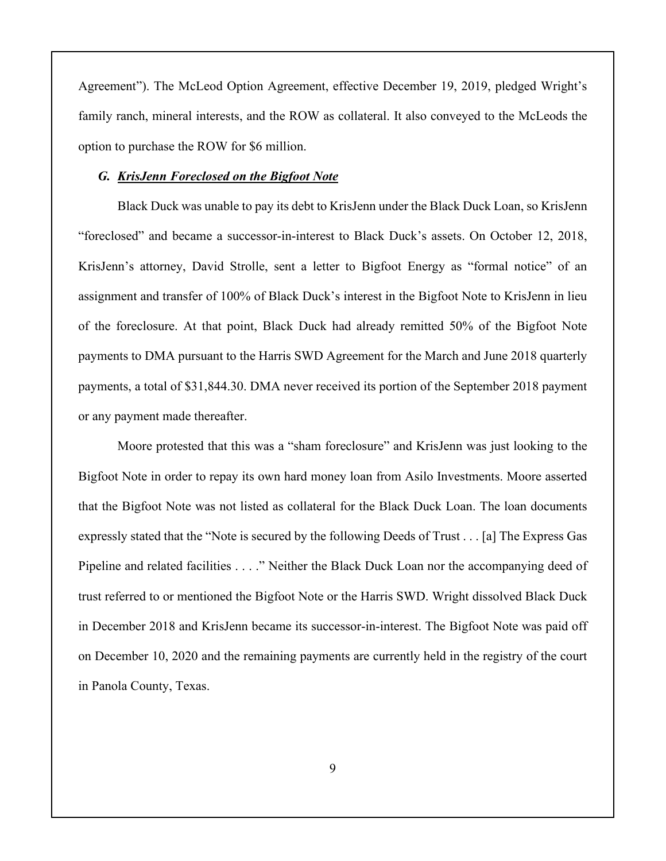Agreement"). The McLeod Option Agreement, effective December 19, 2019, pledged Wright's family ranch, mineral interests, and the ROW as collateral. It also conveyed to the McLeods the option to purchase the ROW for \$6 million.

#### *G. KrisJenn Foreclosed on the Bigfoot Note*

Black Duck was unable to pay its debt to KrisJenn under the Black Duck Loan, so KrisJenn "foreclosed" and became a successor-in-interest to Black Duck's assets. On October 12, 2018, KrisJenn's attorney, David Strolle, sent a letter to Bigfoot Energy as "formal notice" of an assignment and transfer of 100% of Black Duck's interest in the Bigfoot Note to KrisJenn in lieu of the foreclosure. At that point, Black Duck had already remitted 50% of the Bigfoot Note payments to DMA pursuant to the Harris SWD Agreement for the March and June 2018 quarterly payments, a total of \$31,844.30. DMA never received its portion of the September 2018 payment or any payment made thereafter.

Moore protested that this was a "sham foreclosure" and KrisJenn was just looking to the Bigfoot Note in order to repay its own hard money loan from Asilo Investments. Moore asserted that the Bigfoot Note was not listed as collateral for the Black Duck Loan. The loan documents expressly stated that the "Note is secured by the following Deeds of Trust . . . [a] The Express Gas Pipeline and related facilities . . . ." Neither the Black Duck Loan nor the accompanying deed of trust referred to or mentioned the Bigfoot Note or the Harris SWD. Wright dissolved Black Duck in December 2018 and KrisJenn became its successor-in-interest. The Bigfoot Note was paid off on December 10, 2020 and the remaining payments are currently held in the registry of the court in Panola County, Texas.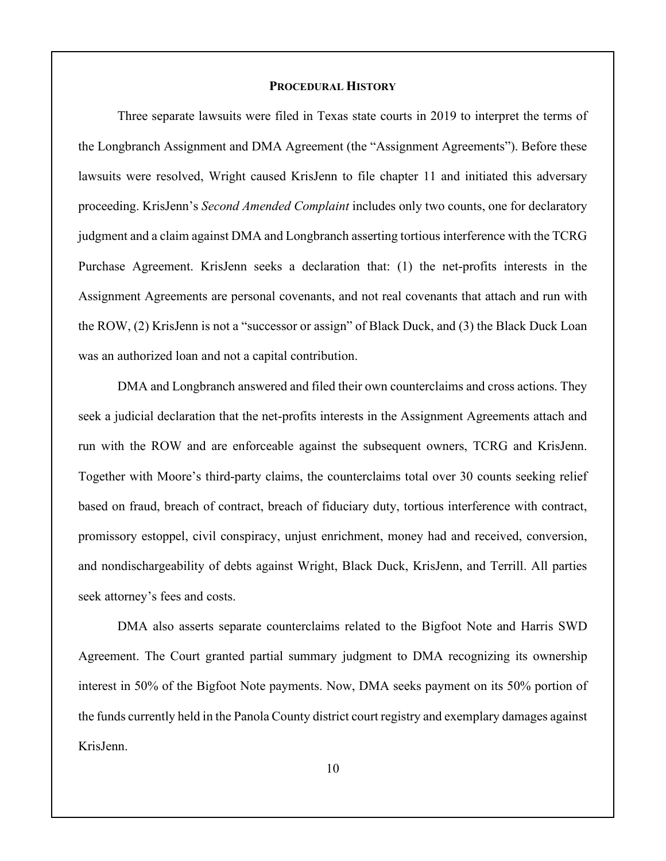## **PROCEDURAL HISTORY**

Three separate lawsuits were filed in Texas state courts in 2019 to interpret the terms of the Longbranch Assignment and DMA Agreement (the "Assignment Agreements"). Before these lawsuits were resolved, Wright caused KrisJenn to file chapter 11 and initiated this adversary proceeding. KrisJenn's *Second Amended Complaint* includes only two counts, one for declaratory judgment and a claim against DMA and Longbranch asserting tortious interference with the TCRG Purchase Agreement. KrisJenn seeks a declaration that: (1) the net-profits interests in the Assignment Agreements are personal covenants, and not real covenants that attach and run with the ROW, (2) KrisJenn is not a "successor or assign" of Black Duck, and (3) the Black Duck Loan was an authorized loan and not a capital contribution.

DMA and Longbranch answered and filed their own counterclaims and cross actions. They seek a judicial declaration that the net-profits interests in the Assignment Agreements attach and run with the ROW and are enforceable against the subsequent owners, TCRG and KrisJenn. Together with Moore's third-party claims, the counterclaims total over 30 counts seeking relief based on fraud, breach of contract, breach of fiduciary duty, tortious interference with contract, promissory estoppel, civil conspiracy, unjust enrichment, money had and received, conversion, and nondischargeability of debts against Wright, Black Duck, KrisJenn, and Terrill. All parties seek attorney's fees and costs.

DMA also asserts separate counterclaims related to the Bigfoot Note and Harris SWD Agreement. The Court granted partial summary judgment to DMA recognizing its ownership interest in 50% of the Bigfoot Note payments. Now, DMA seeks payment on its 50% portion of the funds currently held in the Panola County district court registry and exemplary damages against KrisJenn.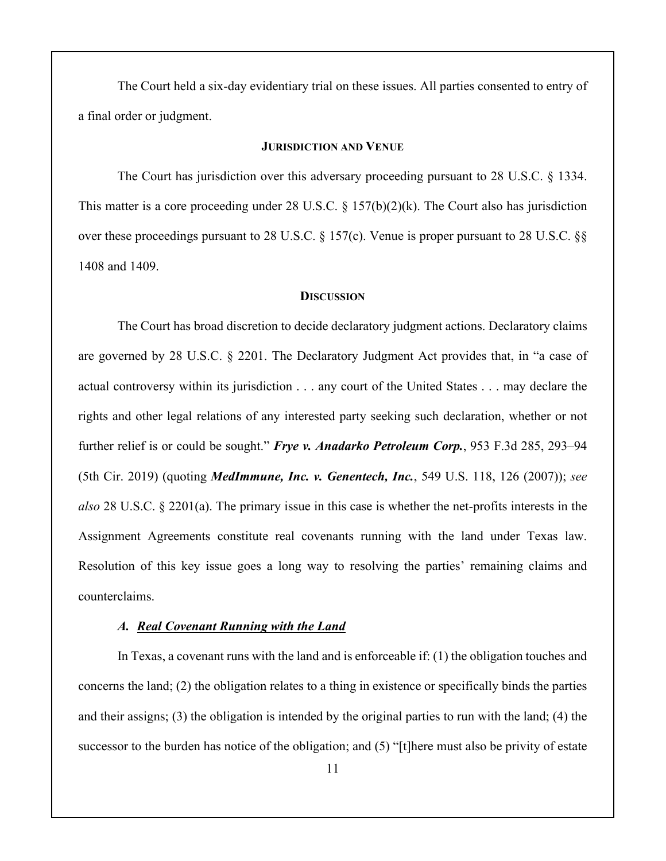The Court held a six-day evidentiary trial on these issues. All parties consented to entry of a final order or judgment.

### **JURISDICTION AND VENUE**

The Court has jurisdiction over this adversary proceeding pursuant to 28 U.S.C. § 1334. This matter is a core proceeding under 28 U.S.C.  $\S 157(b)(2)(k)$ . The Court also has jurisdiction over these proceedings pursuant to 28 U.S.C. § 157(c). Venue is proper pursuant to 28 U.S.C. §§ 1408 and 1409.

#### **DISCUSSION**

The Court has broad discretion to decide declaratory judgment actions. Declaratory claims are governed by 28 U.S.C. § 2201. The Declaratory Judgment Act provides that, in "a case of actual controversy within its jurisdiction . . . any court of the United States . . . may declare the rights and other legal relations of any interested party seeking such declaration, whether or not further relief is or could be sought." *Frye v. Anadarko Petroleum Corp.*, 953 F.3d 285, 293–94 (5th Cir. 2019) (quoting *MedImmune, Inc. v. Genentech, Inc.*, 549 U.S. 118, 126 (2007)); *see also* 28 U.S.C. § 2201(a). The primary issue in this case is whether the net-profits interests in the Assignment Agreements constitute real covenants running with the land under Texas law. Resolution of this key issue goes a long way to resolving the parties' remaining claims and counterclaims.

#### *A. Real Covenant Running with the Land*

In Texas, a covenant runs with the land and is enforceable if: (1) the obligation touches and concerns the land; (2) the obligation relates to a thing in existence or specifically binds the parties and their assigns; (3) the obligation is intended by the original parties to run with the land; (4) the successor to the burden has notice of the obligation; and (5) "[t]here must also be privity of estate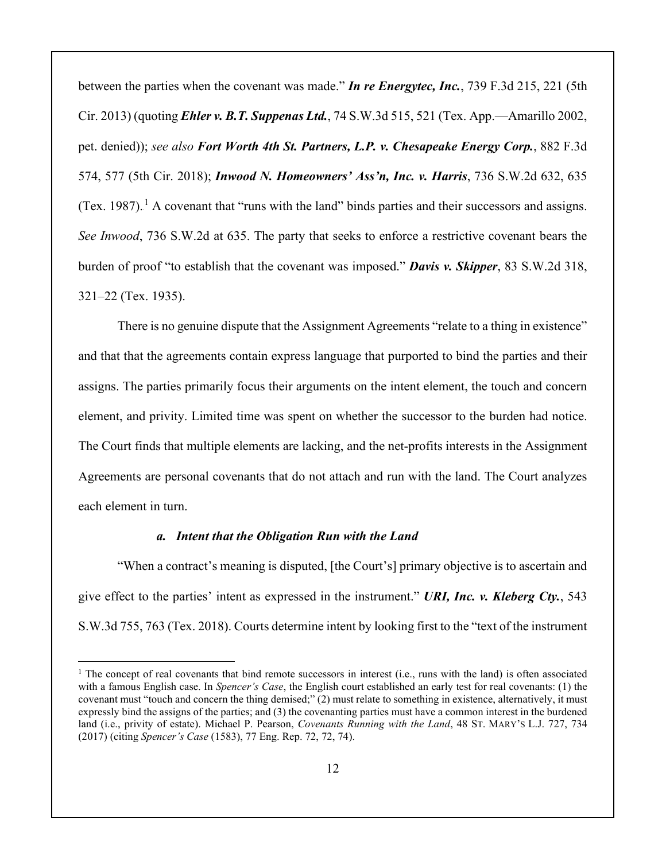between the parties when the covenant was made." *In re Energytec, Inc.*, 739 F.3d 215, 221 (5th Cir. 2013) (quoting *Ehler v. B.T. Suppenas Ltd.*, 74 S.W.3d 515, 521 (Tex. App.—Amarillo 2002, pet. denied)); *see also Fort Worth 4th St. Partners, L.P. v. Chesapeake Energy Corp.*, 882 F.3d 574, 577 (5th Cir. 2018); *Inwood N. Homeowners' Ass'n, Inc. v. Harris*, 736 S.W.2d 632, 635 (Tex. 1987).<sup>1</sup> A covenant that "runs with the land" binds parties and their successors and assigns. *See Inwood*, 736 S.W.2d at 635. The party that seeks to enforce a restrictive covenant bears the burden of proof "to establish that the covenant was imposed." *Davis v. Skipper*, 83 S.W.2d 318, 321–22 (Tex. 1935).

There is no genuine dispute that the Assignment Agreements "relate to a thing in existence" and that that the agreements contain express language that purported to bind the parties and their assigns. The parties primarily focus their arguments on the intent element, the touch and concern element, and privity. Limited time was spent on whether the successor to the burden had notice. The Court finds that multiple elements are lacking, and the net-profits interests in the Assignment Agreements are personal covenants that do not attach and run with the land. The Court analyzes each element in turn.

#### *a. Intent that the Obligation Run with the Land*

"When a contract's meaning is disputed, [the Court's] primary objective is to ascertain and give effect to the parties' intent as expressed in the instrument." *URI, Inc. v. Kleberg Cty.*, 543 S.W.3d 755, 763 (Tex. 2018). Courts determine intent by looking first to the "text of the instrument

<sup>&</sup>lt;sup>1</sup> The concept of real covenants that bind remote successors in interest (i.e., runs with the land) is often associated with a famous English case. In *Spencer's Case*, the English court established an early test for real covenants: (1) the covenant must "touch and concern the thing demised;" (2) must relate to something in existence, alternatively, it must expressly bind the assigns of the parties; and (3) the covenanting parties must have a common interest in the burdened land (i.e., privity of estate). Michael P. Pearson, *Covenants Running with the Land*, 48 ST. MARY'S L.J. 727, 734 (2017) (citing *Spencer's Case* (1583), 77 Eng. Rep. 72, 72, 74).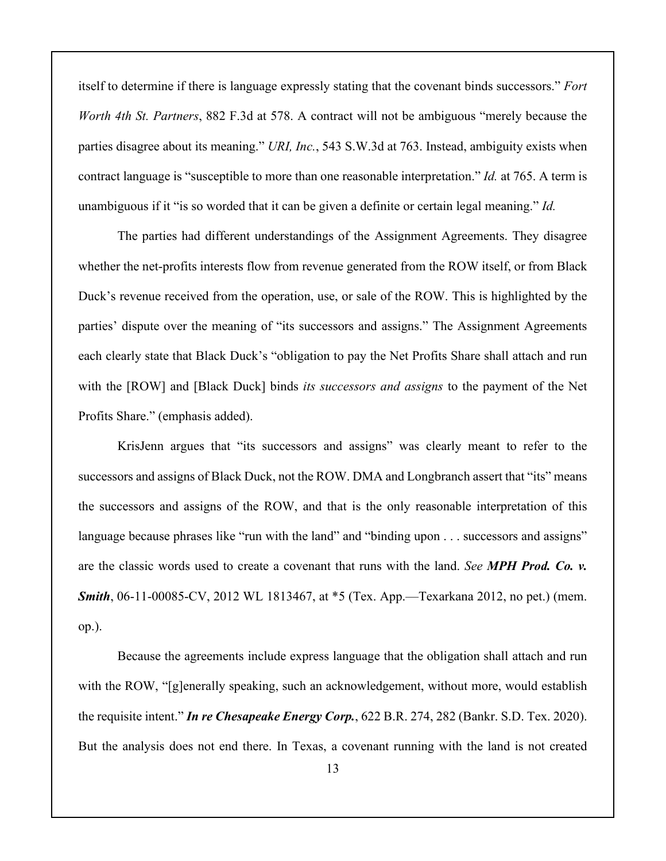itself to determine if there is language expressly stating that the covenant binds successors." *Fort Worth 4th St. Partners*, 882 F.3d at 578. A contract will not be ambiguous "merely because the parties disagree about its meaning." *URI, Inc.*, 543 S.W.3d at 763. Instead, ambiguity exists when contract language is "susceptible to more than one reasonable interpretation." *Id.* at 765. A term is unambiguous if it "is so worded that it can be given a definite or certain legal meaning." *Id.*

The parties had different understandings of the Assignment Agreements. They disagree whether the net-profits interests flow from revenue generated from the ROW itself, or from Black Duck's revenue received from the operation, use, or sale of the ROW. This is highlighted by the parties' dispute over the meaning of "its successors and assigns." The Assignment Agreements each clearly state that Black Duck's "obligation to pay the Net Profits Share shall attach and run with the [ROW] and [Black Duck] binds *its successors and assigns* to the payment of the Net Profits Share." (emphasis added).

KrisJenn argues that "its successors and assigns" was clearly meant to refer to the successors and assigns of Black Duck, not the ROW. DMA and Longbranch assert that "its" means the successors and assigns of the ROW, and that is the only reasonable interpretation of this language because phrases like "run with the land" and "binding upon . . . successors and assigns" are the classic words used to create a covenant that runs with the land. *See MPH Prod. Co. v. Smith*, 06-11-00085-CV, 2012 WL 1813467, at \*5 (Tex. App.—Texarkana 2012, no pet.) (mem. op.).

Because the agreements include express language that the obligation shall attach and run with the ROW, "[g]enerally speaking, such an acknowledgement, without more, would establish the requisite intent." *In re Chesapeake Energy Corp.*, 622 B.R. 274, 282 (Bankr. S.D. Tex. 2020). But the analysis does not end there. In Texas, a covenant running with the land is not created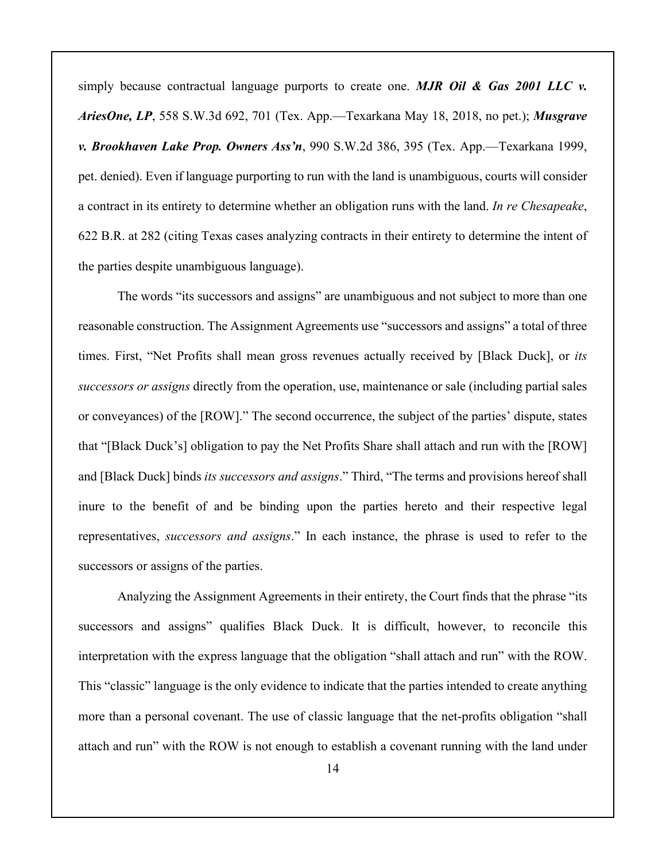simply because contractual language purports to create one. *MJR Oil & Gas 2001 LLC v. AriesOne, LP*, 558 S.W.3d 692, 701 (Tex. App.—Texarkana May 18, 2018, no pet.); *Musgrave v. Brookhaven Lake Prop. Owners Ass'n*, 990 S.W.2d 386, 395 (Tex. App.—Texarkana 1999, pet. denied). Even if language purporting to run with the land is unambiguous, courts will consider a contract in its entirety to determine whether an obligation runs with the land. *In re Chesapeake*, 622 B.R. at 282 (citing Texas cases analyzing contracts in their entirety to determine the intent of the parties despite unambiguous language).

The words "its successors and assigns" are unambiguous and not subject to more than one reasonable construction. The Assignment Agreements use "successors and assigns" a total of three times. First, "Net Profits shall mean gross revenues actually received by [Black Duck], or *its successors or assigns* directly from the operation, use, maintenance or sale (including partial sales or conveyances) of the [ROW]." The second occurrence, the subject of the parties' dispute, states that "[Black Duck's] obligation to pay the Net Profits Share shall attach and run with the [ROW] and [Black Duck] binds *its successors and assigns*." Third, "The terms and provisions hereof shall inure to the benefit of and be binding upon the parties hereto and their respective legal representatives, *successors and assigns*." In each instance, the phrase is used to refer to the successors or assigns of the parties.

Analyzing the Assignment Agreements in their entirety, the Court finds that the phrase "its successors and assigns" qualifies Black Duck. It is difficult, however, to reconcile this interpretation with the express language that the obligation "shall attach and run" with the ROW. This "classic" language is the only evidence to indicate that the parties intended to create anything more than a personal covenant. The use of classic language that the net-profits obligation "shall attach and run" with the ROW is not enough to establish a covenant running with the land under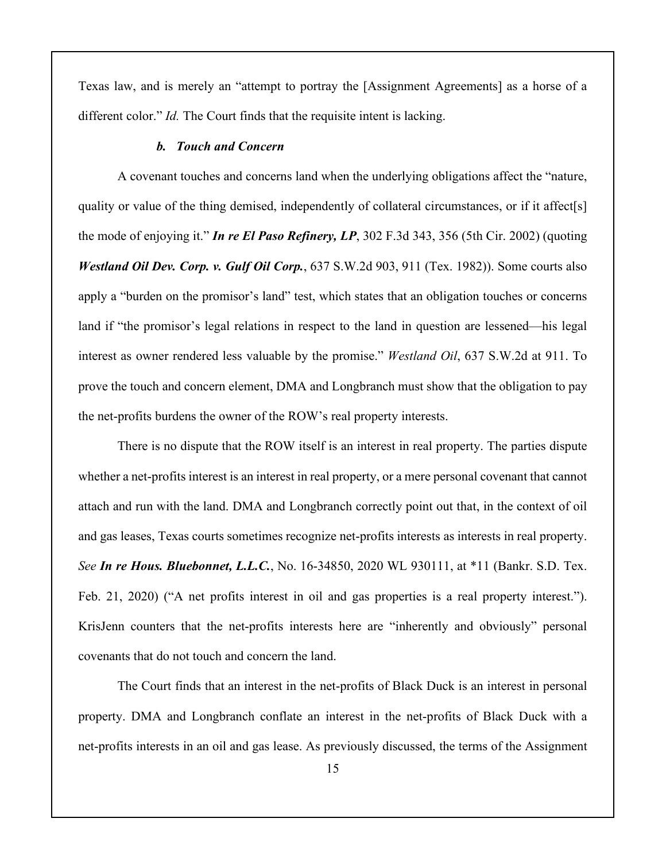Texas law, and is merely an "attempt to portray the [Assignment Agreements] as a horse of a different color." *Id.* The Court finds that the requisite intent is lacking.

# *b. Touch and Concern*

A covenant touches and concerns land when the underlying obligations affect the "nature, quality or value of the thing demised, independently of collateral circumstances, or if it affect[s] the mode of enjoying it." *In re El Paso Refinery, LP*, 302 F.3d 343, 356 (5th Cir. 2002) (quoting *Westland Oil Dev. Corp. v. Gulf Oil Corp.*, 637 S.W.2d 903, 911 (Tex. 1982)). Some courts also apply a "burden on the promisor's land" test, which states that an obligation touches or concerns land if "the promisor's legal relations in respect to the land in question are lessened—his legal interest as owner rendered less valuable by the promise." *Westland Oil*, 637 S.W.2d at 911. To prove the touch and concern element, DMA and Longbranch must show that the obligation to pay the net-profits burdens the owner of the ROW's real property interests.

There is no dispute that the ROW itself is an interest in real property. The parties dispute whether a net-profits interest is an interest in real property, or a mere personal covenant that cannot attach and run with the land. DMA and Longbranch correctly point out that, in the context of oil and gas leases, Texas courts sometimes recognize net-profits interests as interests in real property. *See In re Hous. Bluebonnet, L.L.C.*, No. 16-34850, 2020 WL 930111, at \*11 (Bankr. S.D. Tex. Feb. 21, 2020) ("A net profits interest in oil and gas properties is a real property interest."). KrisJenn counters that the net-profits interests here are "inherently and obviously" personal covenants that do not touch and concern the land.

The Court finds that an interest in the net-profits of Black Duck is an interest in personal property. DMA and Longbranch conflate an interest in the net-profits of Black Duck with a net-profits interests in an oil and gas lease. As previously discussed, the terms of the Assignment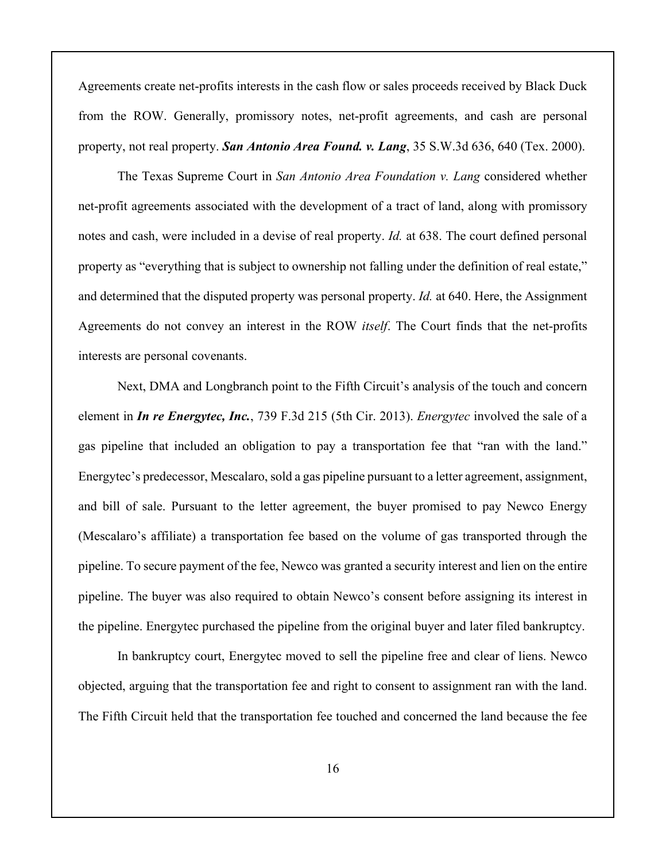Agreements create net-profits interests in the cash flow or sales proceeds received by Black Duck from the ROW. Generally, promissory notes, net-profit agreements, and cash are personal property, not real property. *San Antonio Area Found. v. Lang*, 35 S.W.3d 636, 640 (Tex. 2000).

The Texas Supreme Court in *San Antonio Area Foundation v. Lang* considered whether net-profit agreements associated with the development of a tract of land, along with promissory notes and cash, were included in a devise of real property. *Id.* at 638. The court defined personal property as "everything that is subject to ownership not falling under the definition of real estate," and determined that the disputed property was personal property. *Id.* at 640. Here, the Assignment Agreements do not convey an interest in the ROW *itself*. The Court finds that the net-profits interests are personal covenants.

Next, DMA and Longbranch point to the Fifth Circuit's analysis of the touch and concern element in *In re Energytec, Inc.*, 739 F.3d 215 (5th Cir. 2013). *Energytec* involved the sale of a gas pipeline that included an obligation to pay a transportation fee that "ran with the land." Energytec's predecessor, Mescalaro, sold a gas pipeline pursuant to a letter agreement, assignment, and bill of sale. Pursuant to the letter agreement, the buyer promised to pay Newco Energy (Mescalaro's affiliate) a transportation fee based on the volume of gas transported through the pipeline. To secure payment of the fee, Newco was granted a security interest and lien on the entire pipeline. The buyer was also required to obtain Newco's consent before assigning its interest in the pipeline. Energytec purchased the pipeline from the original buyer and later filed bankruptcy.

In bankruptcy court, Energytec moved to sell the pipeline free and clear of liens. Newco objected, arguing that the transportation fee and right to consent to assignment ran with the land. The Fifth Circuit held that the transportation fee touched and concerned the land because the fee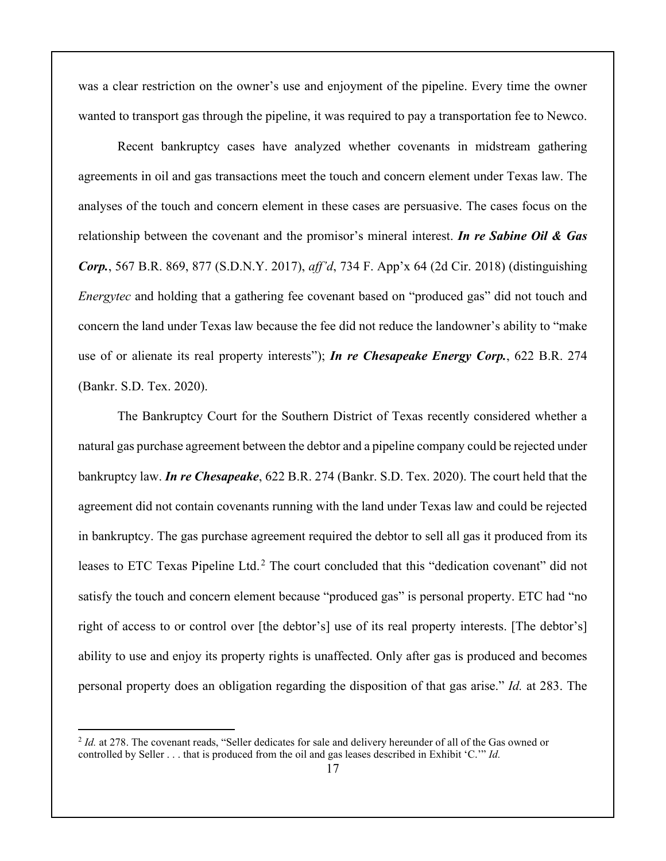was a clear restriction on the owner's use and enjoyment of the pipeline. Every time the owner wanted to transport gas through the pipeline, it was required to pay a transportation fee to Newco.

Recent bankruptcy cases have analyzed whether covenants in midstream gathering agreements in oil and gas transactions meet the touch and concern element under Texas law. The analyses of the touch and concern element in these cases are persuasive. The cases focus on the relationship between the covenant and the promisor's mineral interest. *In re Sabine Oil & Gas Corp.*, 567 B.R. 869, 877 (S.D.N.Y. 2017), *aff'd*, 734 F. App'x 64 (2d Cir. 2018) (distinguishing *Energytec* and holding that a gathering fee covenant based on "produced gas" did not touch and concern the land under Texas law because the fee did not reduce the landowner's ability to "make use of or alienate its real property interests"); *In re Chesapeake Energy Corp.*, 622 B.R. 274 (Bankr. S.D. Tex. 2020).

The Bankruptcy Court for the Southern District of Texas recently considered whether a natural gas purchase agreement between the debtor and a pipeline company could be rejected under bankruptcy law. *In re Chesapeake*, 622 B.R. 274 (Bankr. S.D. Tex. 2020). The court held that the agreement did not contain covenants running with the land under Texas law and could be rejected in bankruptcy. The gas purchase agreement required the debtor to sell all gas it produced from its leases to ETC Texas Pipeline Ltd.<sup>2</sup> The court concluded that this "dedication covenant" did not satisfy the touch and concern element because "produced gas" is personal property. ETC had "no right of access to or control over [the debtor's] use of its real property interests. [The debtor's] ability to use and enjoy its property rights is unaffected. Only after gas is produced and becomes personal property does an obligation regarding the disposition of that gas arise." *Id.* at 283. The

<sup>&</sup>lt;sup>2</sup> *Id.* at 278. The covenant reads, "Seller dedicates for sale and delivery hereunder of all of the Gas owned or controlled by Seller . . . that is produced from the oil and gas leases described in Exhibit 'C.'" *Id.*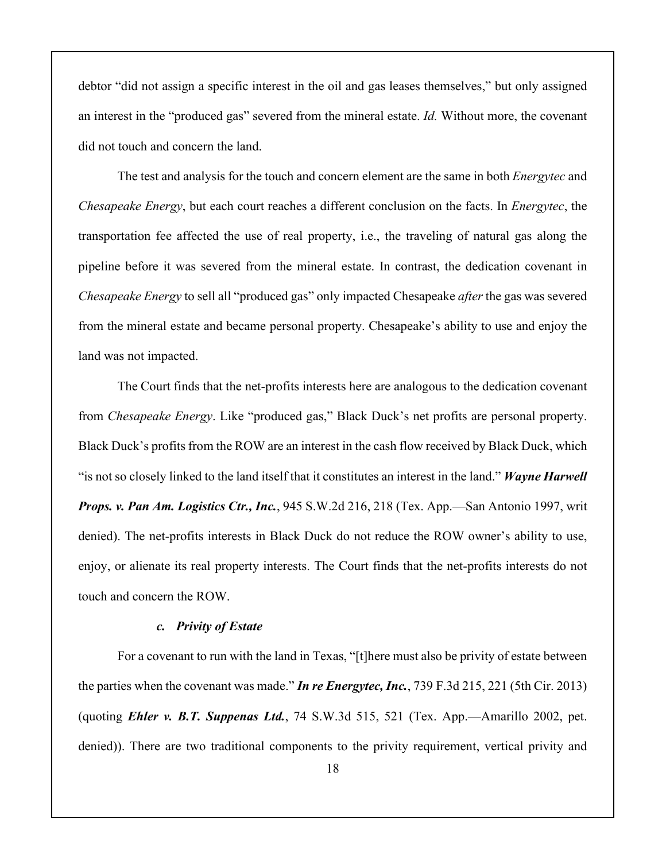debtor "did not assign a specific interest in the oil and gas leases themselves," but only assigned an interest in the "produced gas" severed from the mineral estate. *Id.* Without more, the covenant did not touch and concern the land.

The test and analysis for the touch and concern element are the same in both *Energytec* and *Chesapeake Energy*, but each court reaches a different conclusion on the facts. In *Energytec*, the transportation fee affected the use of real property, i.e., the traveling of natural gas along the pipeline before it was severed from the mineral estate. In contrast, the dedication covenant in *Chesapeake Energy* to sell all "produced gas" only impacted Chesapeake *after* the gas was severed from the mineral estate and became personal property. Chesapeake's ability to use and enjoy the land was not impacted.

The Court finds that the net-profits interests here are analogous to the dedication covenant from *Chesapeake Energy*. Like "produced gas," Black Duck's net profits are personal property. Black Duck's profits from the ROW are an interest in the cash flow received by Black Duck, which "is not so closely linked to the land itself that it constitutes an interest in the land." *Wayne Harwell Props. v. Pan Am. Logistics Ctr., Inc.*, 945 S.W.2d 216, 218 (Tex. App.—San Antonio 1997, writ denied). The net-profits interests in Black Duck do not reduce the ROW owner's ability to use, enjoy, or alienate its real property interests. The Court finds that the net-profits interests do not touch and concern the ROW.

#### *c. Privity of Estate*

For a covenant to run with the land in Texas, "[t]here must also be privity of estate between the parties when the covenant was made." *In re Energytec, Inc.*, 739 F.3d 215, 221 (5th Cir. 2013) (quoting *Ehler v. B.T. Suppenas Ltd.*, 74 S.W.3d 515, 521 (Tex. App.—Amarillo 2002, pet. denied)). There are two traditional components to the privity requirement, vertical privity and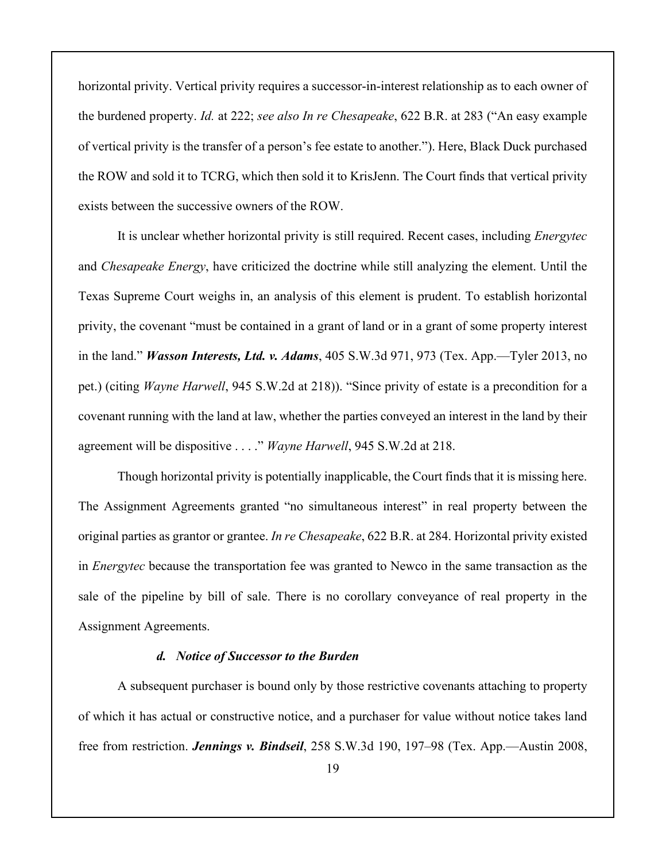horizontal privity. Vertical privity requires a successor-in-interest relationship as to each owner of the burdened property. *Id.* at 222; *see also In re Chesapeake*, 622 B.R. at 283 ("An easy example of vertical privity is the transfer of a person's fee estate to another."). Here, Black Duck purchased the ROW and sold it to TCRG, which then sold it to KrisJenn. The Court finds that vertical privity exists between the successive owners of the ROW.

It is unclear whether horizontal privity is still required. Recent cases, including *Energytec*  and *Chesapeake Energy*, have criticized the doctrine while still analyzing the element. Until the Texas Supreme Court weighs in, an analysis of this element is prudent. To establish horizontal privity, the covenant "must be contained in a grant of land or in a grant of some property interest in the land." *Wasson Interests, Ltd. v. Adams*, 405 S.W.3d 971, 973 (Tex. App.—Tyler 2013, no pet.) (citing *Wayne Harwell*, 945 S.W.2d at 218)). "Since privity of estate is a precondition for a covenant running with the land at law, whether the parties conveyed an interest in the land by their agreement will be dispositive . . . ." *Wayne Harwell*, 945 S.W.2d at 218.

Though horizontal privity is potentially inapplicable, the Court finds that it is missing here. The Assignment Agreements granted "no simultaneous interest" in real property between the original parties as grantor or grantee. *In re Chesapeake*, 622 B.R. at 284. Horizontal privity existed in *Energytec* because the transportation fee was granted to Newco in the same transaction as the sale of the pipeline by bill of sale. There is no corollary conveyance of real property in the Assignment Agreements.

## *d. Notice of Successor to the Burden*

A subsequent purchaser is bound only by those restrictive covenants attaching to property of which it has actual or constructive notice, and a purchaser for value without notice takes land free from restriction. *Jennings v. Bindseil*, 258 S.W.3d 190, 197–98 (Tex. App.—Austin 2008,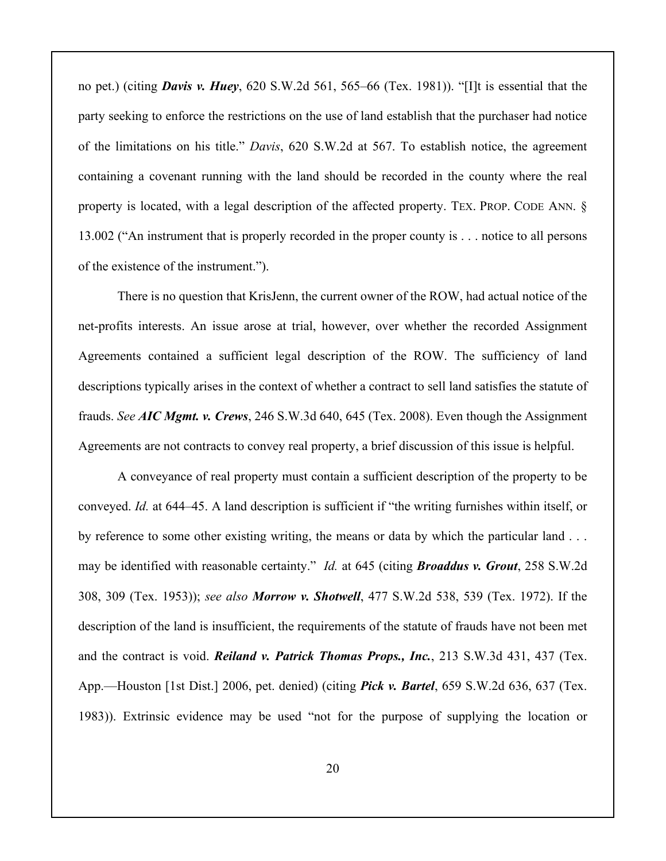no pet.) (citing *Davis v. Huey*, 620 S.W.2d 561, 565–66 (Tex. 1981)). "[I]t is essential that the party seeking to enforce the restrictions on the use of land establish that the purchaser had notice of the limitations on his title." *Davis*, 620 S.W.2d at 567. To establish notice, the agreement containing a covenant running with the land should be recorded in the county where the real property is located, with a legal description of the affected property. TEX. PROP. CODE ANN. § 13.002 ("An instrument that is properly recorded in the proper county is . . . notice to all persons of the existence of the instrument.").

There is no question that KrisJenn, the current owner of the ROW, had actual notice of the net-profits interests. An issue arose at trial, however, over whether the recorded Assignment Agreements contained a sufficient legal description of the ROW. The sufficiency of land descriptions typically arises in the context of whether a contract to sell land satisfies the statute of frauds. *See AIC Mgmt. v. Crews*, 246 S.W.3d 640, 645 (Tex. 2008). Even though the Assignment Agreements are not contracts to convey real property, a brief discussion of this issue is helpful.

A conveyance of real property must contain a sufficient description of the property to be conveyed. *Id.* at 644–45. A land description is sufficient if "the writing furnishes within itself, or by reference to some other existing writing, the means or data by which the particular land . . . may be identified with reasonable certainty." *Id.* at 645 (citing *Broaddus v. Grout*, 258 S.W.2d 308, 309 (Tex. 1953)); *see also Morrow v. Shotwell*, 477 S.W.2d 538, 539 (Tex. 1972). If the description of the land is insufficient, the requirements of the statute of frauds have not been met and the contract is void. *Reiland v. Patrick Thomas Props., Inc.*, 213 S.W.3d 431, 437 (Tex. App.—Houston [1st Dist.] 2006, pet. denied) (citing *Pick v. Bartel*, 659 S.W.2d 636, 637 (Tex. 1983)). Extrinsic evidence may be used "not for the purpose of supplying the location or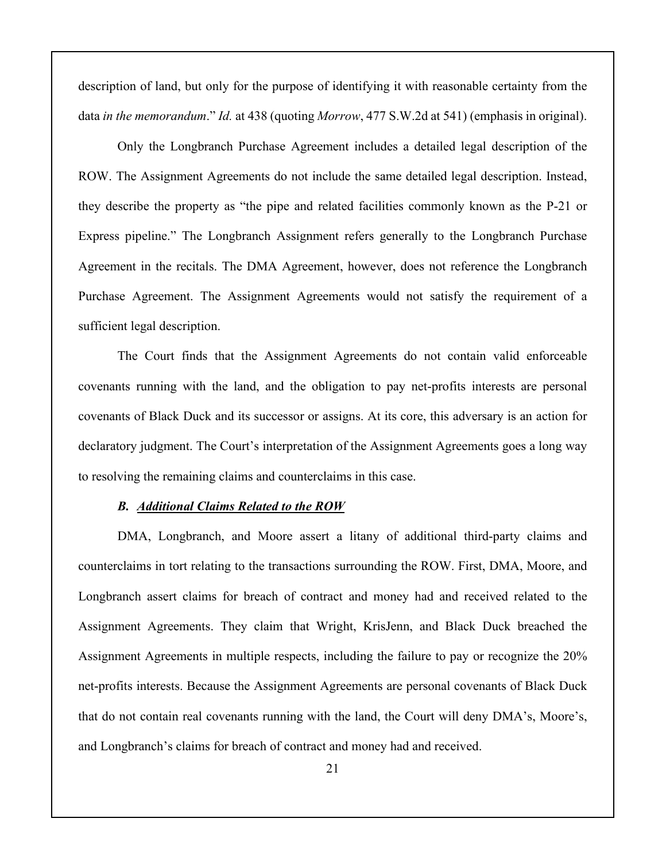description of land, but only for the purpose of identifying it with reasonable certainty from the data *in the memorandum*." *Id.* at 438 (quoting *Morrow*, 477 S.W.2d at 541) (emphasis in original).

Only the Longbranch Purchase Agreement includes a detailed legal description of the ROW. The Assignment Agreements do not include the same detailed legal description. Instead, they describe the property as "the pipe and related facilities commonly known as the P-21 or Express pipeline." The Longbranch Assignment refers generally to the Longbranch Purchase Agreement in the recitals. The DMA Agreement, however, does not reference the Longbranch Purchase Agreement. The Assignment Agreements would not satisfy the requirement of a sufficient legal description.

The Court finds that the Assignment Agreements do not contain valid enforceable covenants running with the land, and the obligation to pay net-profits interests are personal covenants of Black Duck and its successor or assigns. At its core, this adversary is an action for declaratory judgment. The Court's interpretation of the Assignment Agreements goes a long way to resolving the remaining claims and counterclaims in this case.

## *B. Additional Claims Related to the ROW*

DMA, Longbranch, and Moore assert a litany of additional third-party claims and counterclaims in tort relating to the transactions surrounding the ROW. First, DMA, Moore, and Longbranch assert claims for breach of contract and money had and received related to the Assignment Agreements. They claim that Wright, KrisJenn, and Black Duck breached the Assignment Agreements in multiple respects, including the failure to pay or recognize the 20% net-profits interests. Because the Assignment Agreements are personal covenants of Black Duck that do not contain real covenants running with the land, the Court will deny DMA's, Moore's, and Longbranch's claims for breach of contract and money had and received.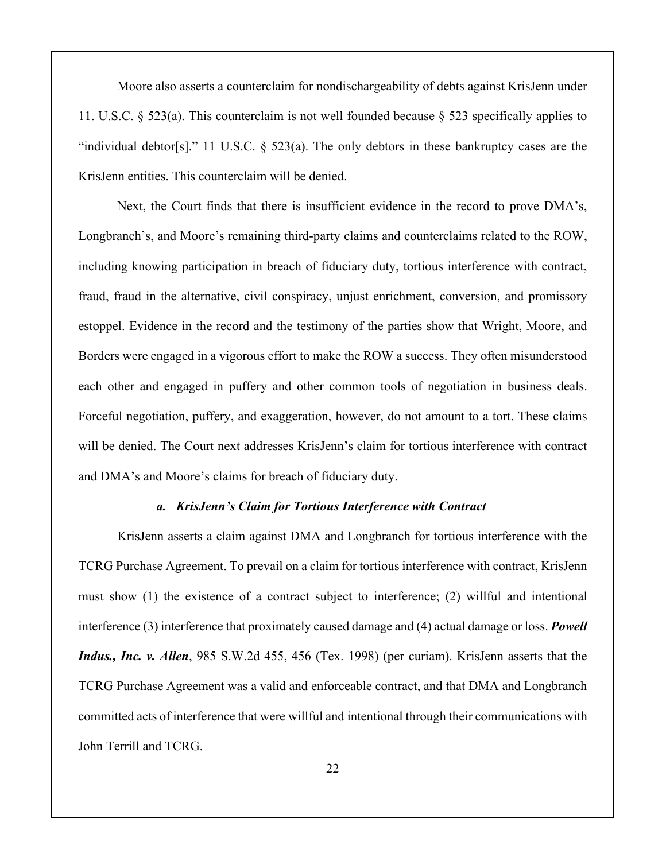Moore also asserts a counterclaim for nondischargeability of debts against KrisJenn under 11. U.S.C. § 523(a). This counterclaim is not well founded because § 523 specifically applies to "individual debtor[s]." 11 U.S.C.  $\S$  523(a). The only debtors in these bankruptcy cases are the KrisJenn entities. This counterclaim will be denied.

Next, the Court finds that there is insufficient evidence in the record to prove DMA's, Longbranch's, and Moore's remaining third-party claims and counterclaims related to the ROW, including knowing participation in breach of fiduciary duty, tortious interference with contract, fraud, fraud in the alternative, civil conspiracy, unjust enrichment, conversion, and promissory estoppel. Evidence in the record and the testimony of the parties show that Wright, Moore, and Borders were engaged in a vigorous effort to make the ROW a success. They often misunderstood each other and engaged in puffery and other common tools of negotiation in business deals. Forceful negotiation, puffery, and exaggeration, however, do not amount to a tort. These claims will be denied. The Court next addresses KrisJenn's claim for tortious interference with contract and DMA's and Moore's claims for breach of fiduciary duty.

#### *a. KrisJenn's Claim for Tortious Interference with Contract*

KrisJenn asserts a claim against DMA and Longbranch for tortious interference with the TCRG Purchase Agreement. To prevail on a claim for tortious interference with contract, KrisJenn must show (1) the existence of a contract subject to interference; (2) willful and intentional interference (3) interference that proximately caused damage and (4) actual damage or loss. *Powell Indus., Inc. v. Allen*, 985 S.W.2d 455, 456 (Tex. 1998) (per curiam). KrisJenn asserts that the TCRG Purchase Agreement was a valid and enforceable contract, and that DMA and Longbranch committed acts of interference that were willful and intentional through their communications with John Terrill and TCRG.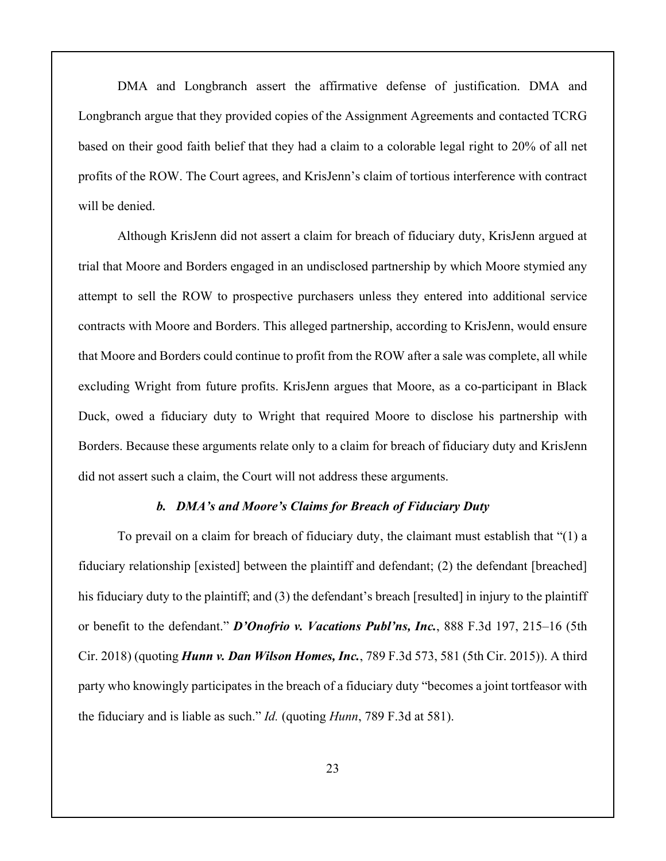DMA and Longbranch assert the affirmative defense of justification. DMA and Longbranch argue that they provided copies of the Assignment Agreements and contacted TCRG based on their good faith belief that they had a claim to a colorable legal right to 20% of all net profits of the ROW. The Court agrees, and KrisJenn's claim of tortious interference with contract will be denied.

Although KrisJenn did not assert a claim for breach of fiduciary duty, KrisJenn argued at trial that Moore and Borders engaged in an undisclosed partnership by which Moore stymied any attempt to sell the ROW to prospective purchasers unless they entered into additional service contracts with Moore and Borders. This alleged partnership, according to KrisJenn, would ensure that Moore and Borders could continue to profit from the ROW after a sale was complete, all while excluding Wright from future profits. KrisJenn argues that Moore, as a co-participant in Black Duck, owed a fiduciary duty to Wright that required Moore to disclose his partnership with Borders. Because these arguments relate only to a claim for breach of fiduciary duty and KrisJenn did not assert such a claim, the Court will not address these arguments.

## *b. DMA's and Moore's Claims for Breach of Fiduciary Duty*

To prevail on a claim for breach of fiduciary duty, the claimant must establish that "(1) a fiduciary relationship [existed] between the plaintiff and defendant; (2) the defendant [breached] his fiduciary duty to the plaintiff; and (3) the defendant's breach [resulted] in injury to the plaintiff or benefit to the defendant." *D'Onofrio v. Vacations Publ'ns, Inc.*, 888 F.3d 197, 215–16 (5th Cir. 2018) (quoting *Hunn v. Dan Wilson Homes, Inc.*, 789 F.3d 573, 581 (5th Cir. 2015)). A third party who knowingly participates in the breach of a fiduciary duty "becomes a joint tortfeasor with the fiduciary and is liable as such." *Id.* (quoting *Hunn*, 789 F.3d at 581).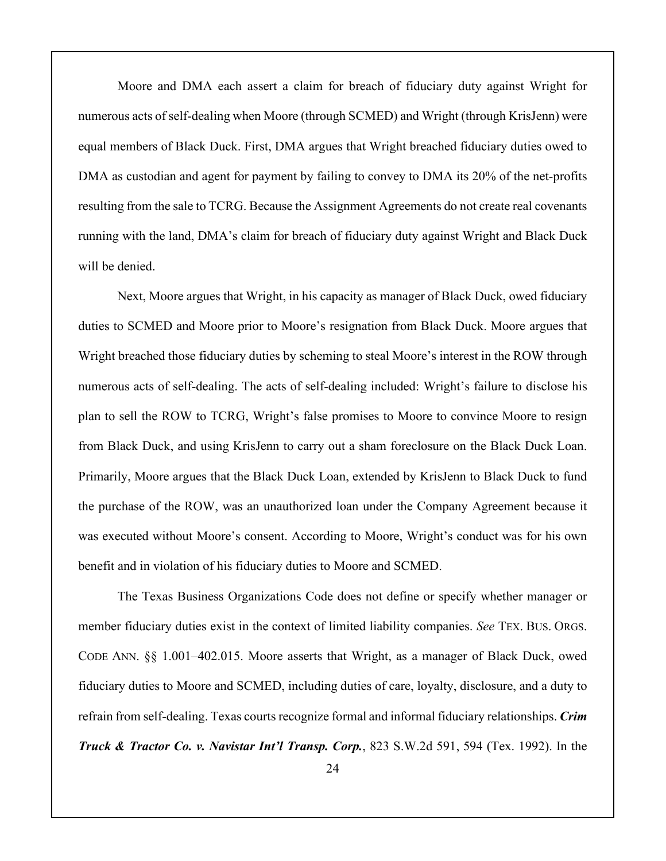Moore and DMA each assert a claim for breach of fiduciary duty against Wright for numerous acts of self-dealing when Moore (through SCMED) and Wright (through KrisJenn) were equal members of Black Duck. First, DMA argues that Wright breached fiduciary duties owed to DMA as custodian and agent for payment by failing to convey to DMA its 20% of the net-profits resulting from the sale to TCRG. Because the Assignment Agreements do not create real covenants running with the land, DMA's claim for breach of fiduciary duty against Wright and Black Duck will be denied.

Next, Moore argues that Wright, in his capacity as manager of Black Duck, owed fiduciary duties to SCMED and Moore prior to Moore's resignation from Black Duck. Moore argues that Wright breached those fiduciary duties by scheming to steal Moore's interest in the ROW through numerous acts of self-dealing. The acts of self-dealing included: Wright's failure to disclose his plan to sell the ROW to TCRG, Wright's false promises to Moore to convince Moore to resign from Black Duck, and using KrisJenn to carry out a sham foreclosure on the Black Duck Loan. Primarily, Moore argues that the Black Duck Loan, extended by KrisJenn to Black Duck to fund the purchase of the ROW, was an unauthorized loan under the Company Agreement because it was executed without Moore's consent. According to Moore, Wright's conduct was for his own benefit and in violation of his fiduciary duties to Moore and SCMED.

The Texas Business Organizations Code does not define or specify whether manager or member fiduciary duties exist in the context of limited liability companies. *See* TEX. BUS. ORGS. CODE ANN. §§ 1.001–402.015. Moore asserts that Wright, as a manager of Black Duck, owed fiduciary duties to Moore and SCMED, including duties of care, loyalty, disclosure, and a duty to refrain from self-dealing. Texas courts recognize formal and informal fiduciary relationships. *Crim Truck & Tractor Co. v. Navistar Int'l Transp. Corp.*, 823 S.W.2d 591, 594 (Tex. 1992). In the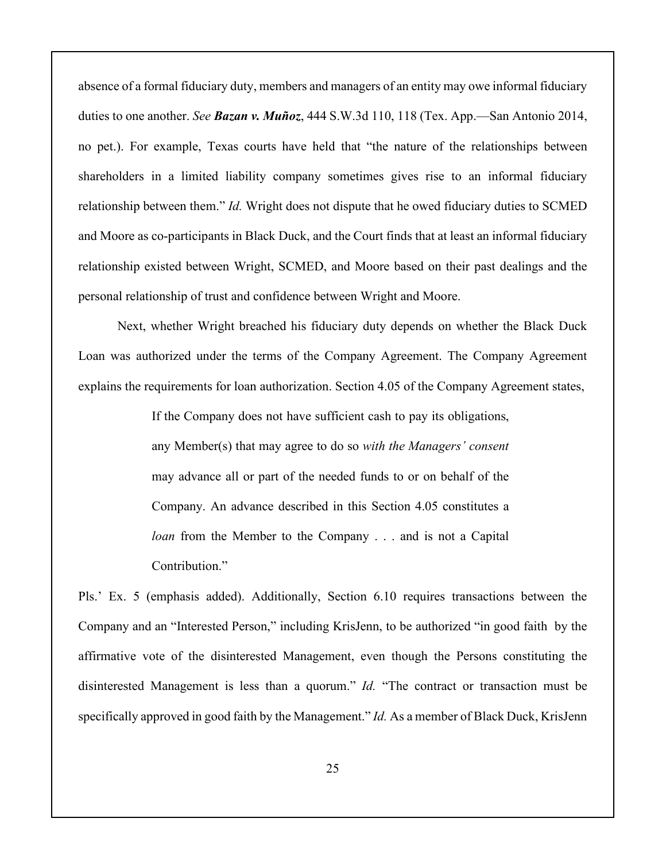absence of a formal fiduciary duty, members and managers of an entity may owe informal fiduciary duties to one another. *See Bazan v. Muñoz*, 444 S.W.3d 110, 118 (Tex. App.—San Antonio 2014, no pet.). For example, Texas courts have held that "the nature of the relationships between shareholders in a limited liability company sometimes gives rise to an informal fiduciary relationship between them." *Id.* Wright does not dispute that he owed fiduciary duties to SCMED and Moore as co-participants in Black Duck, and the Court finds that at least an informal fiduciary relationship existed between Wright, SCMED, and Moore based on their past dealings and the personal relationship of trust and confidence between Wright and Moore.

Next, whether Wright breached his fiduciary duty depends on whether the Black Duck Loan was authorized under the terms of the Company Agreement. The Company Agreement explains the requirements for loan authorization. Section 4.05 of the Company Agreement states,

> If the Company does not have sufficient cash to pay its obligations, any Member(s) that may agree to do so *with the Managers' consent* may advance all or part of the needed funds to or on behalf of the Company. An advance described in this Section 4.05 constitutes a *loan* from the Member to the Company . . . and is not a Capital Contribution."

Pls.' Ex. 5 (emphasis added). Additionally, Section 6.10 requires transactions between the Company and an "Interested Person," including KrisJenn, to be authorized "in good faith by the affirmative vote of the disinterested Management, even though the Persons constituting the disinterested Management is less than a quorum." *Id.* "The contract or transaction must be specifically approved in good faith by the Management." *Id.* As a member of Black Duck, KrisJenn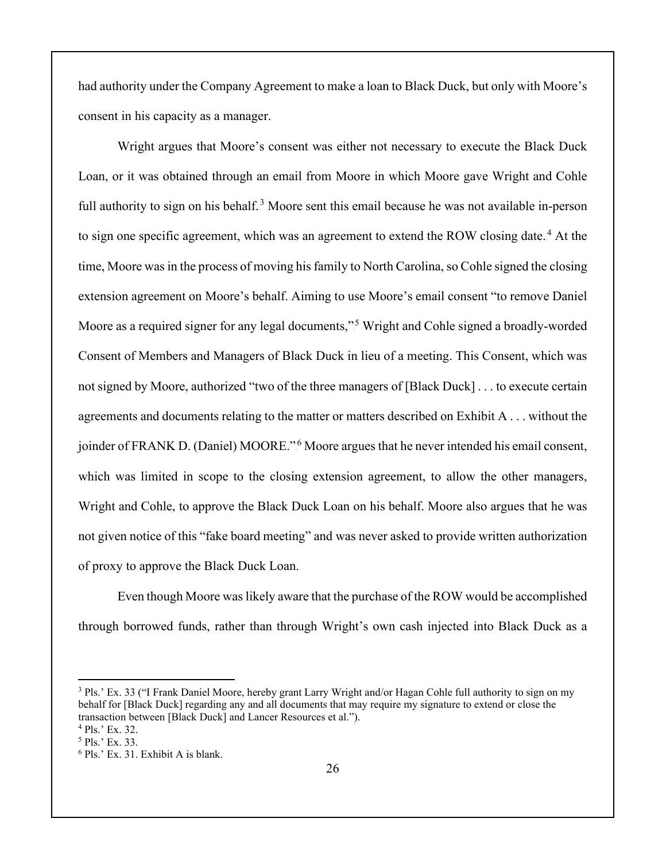had authority under the Company Agreement to make a loan to Black Duck, but only with Moore's consent in his capacity as a manager.

Wright argues that Moore's consent was either not necessary to execute the Black Duck Loan, or it was obtained through an email from Moore in which Moore gave Wright and Cohle full authority to sign on his behalf.<sup>3</sup> Moore sent this email because he was not available in-person to sign one specific agreement, which was an agreement to extend the ROW closing date.<sup>4</sup> At the time, Moore was in the process of moving his family to North Carolina, so Cohle signed the closing extension agreement on Moore's behalf. Aiming to use Moore's email consent "to remove Daniel Moore as a required signer for any legal documents,"<sup>5</sup> Wright and Cohle signed a broadly-worded Consent of Members and Managers of Black Duck in lieu of a meeting. This Consent, which was not signed by Moore, authorized "two of the three managers of [Black Duck] . . . to execute certain agreements and documents relating to the matter or matters described on Exhibit A . . . without the joinder of FRANK D. (Daniel) MOORE."<sup>6</sup> Moore argues that he never intended his email consent, which was limited in scope to the closing extension agreement, to allow the other managers, Wright and Cohle, to approve the Black Duck Loan on his behalf. Moore also argues that he was not given notice of this "fake board meeting" and was never asked to provide written authorization of proxy to approve the Black Duck Loan.

Even though Moore waslikely aware that the purchase of the ROW would be accomplished through borrowed funds, rather than through Wright's own cash injected into Black Duck as a

<sup>3</sup> Pls.' Ex. 33 ("I Frank Daniel Moore, hereby grant Larry Wright and/or Hagan Cohle full authority to sign on my behalf for [Black Duck] regarding any and all documents that may require my signature to extend or close the transaction between [Black Duck] and Lancer Resources et al.").

<sup>4</sup> Pls.' Ex. 32. <sup>5</sup> Pls.' Ex. 33.

<sup>6</sup> Pls.' Ex. 31. Exhibit A is blank.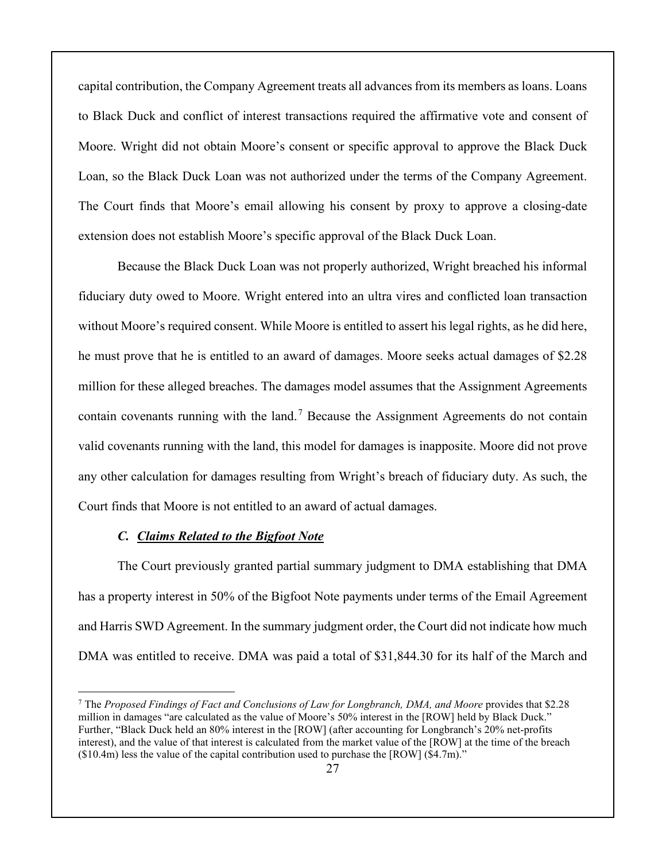capital contribution, the Company Agreement treats all advances from its members as loans. Loans to Black Duck and conflict of interest transactions required the affirmative vote and consent of Moore. Wright did not obtain Moore's consent or specific approval to approve the Black Duck Loan, so the Black Duck Loan was not authorized under the terms of the Company Agreement. The Court finds that Moore's email allowing his consent by proxy to approve a closing-date extension does not establish Moore's specific approval of the Black Duck Loan.

Because the Black Duck Loan was not properly authorized, Wright breached his informal fiduciary duty owed to Moore. Wright entered into an ultra vires and conflicted loan transaction without Moore's required consent. While Moore is entitled to assert his legal rights, as he did here, he must prove that he is entitled to an award of damages. Moore seeks actual damages of \$2.28 million for these alleged breaches. The damages model assumes that the Assignment Agreements contain covenants running with the land.<sup>7</sup> Because the Assignment Agreements do not contain valid covenants running with the land, this model for damages is inapposite. Moore did not prove any other calculation for damages resulting from Wright's breach of fiduciary duty. As such, the Court finds that Moore is not entitled to an award of actual damages.

## *C. Claims Related to the Bigfoot Note*

The Court previously granted partial summary judgment to DMA establishing that DMA has a property interest in 50% of the Bigfoot Note payments under terms of the Email Agreement and Harris SWD Agreement. In the summary judgment order, the Court did not indicate how much DMA was entitled to receive. DMA was paid a total of \$31,844.30 for its half of the March and

<sup>&</sup>lt;sup>7</sup> The Proposed Findings of Fact and Conclusions of Law for Longbranch, DMA, and Moore provides that \$2.28 million in damages "are calculated as the value of Moore's 50% interest in the [ROW] held by Black Duck." Further, "Black Duck held an 80% interest in the [ROW] (after accounting for Longbranch's 20% net-profits interest), and the value of that interest is calculated from the market value of the [ROW] at the time of the breach (\$10.4m) less the value of the capital contribution used to purchase the [ROW] (\$4.7m)."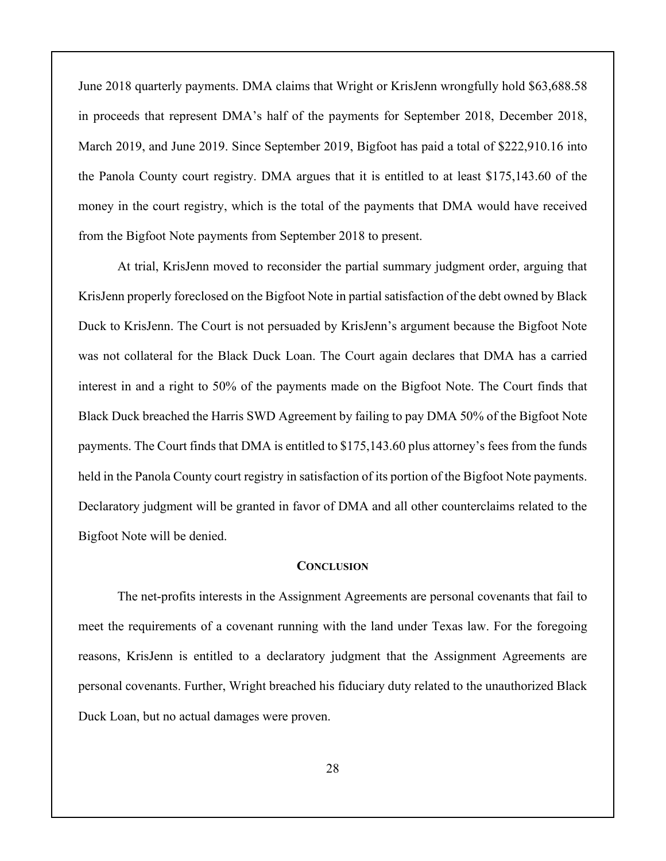June 2018 quarterly payments. DMA claims that Wright or KrisJenn wrongfully hold \$63,688.58 in proceeds that represent DMA's half of the payments for September 2018, December 2018, March 2019, and June 2019. Since September 2019, Bigfoot has paid a total of \$222,910.16 into the Panola County court registry. DMA argues that it is entitled to at least \$175,143.60 of the money in the court registry, which is the total of the payments that DMA would have received from the Bigfoot Note payments from September 2018 to present.

At trial, KrisJenn moved to reconsider the partial summary judgment order, arguing that KrisJenn properly foreclosed on the Bigfoot Note in partial satisfaction of the debt owned by Black Duck to KrisJenn. The Court is not persuaded by KrisJenn's argument because the Bigfoot Note was not collateral for the Black Duck Loan. The Court again declares that DMA has a carried interest in and a right to 50% of the payments made on the Bigfoot Note. The Court finds that Black Duck breached the Harris SWD Agreement by failing to pay DMA 50% of the Bigfoot Note payments. The Court finds that DMA is entitled to \$175,143.60 plus attorney's fees from the funds held in the Panola County court registry in satisfaction of its portion of the Bigfoot Note payments. Declaratory judgment will be granted in favor of DMA and all other counterclaims related to the Bigfoot Note will be denied.

#### **CONCLUSION**

The net-profits interests in the Assignment Agreements are personal covenants that fail to meet the requirements of a covenant running with the land under Texas law. For the foregoing reasons, KrisJenn is entitled to a declaratory judgment that the Assignment Agreements are personal covenants. Further, Wright breached his fiduciary duty related to the unauthorized Black Duck Loan, but no actual damages were proven.